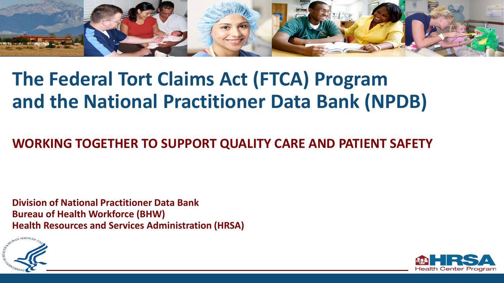

# **The Federal Tort Claims Act (FTCA) Program and the National Practitioner Data Bank (NPDB)**

### **WORKING TOGETHER TO SUPPORT QUALITY CARE AND PATIENT SAFETY**

**Division of National Practitioner Data Bank Bureau of Health Workforce (BHW) Health Resources and Services Administration (HRSA)**



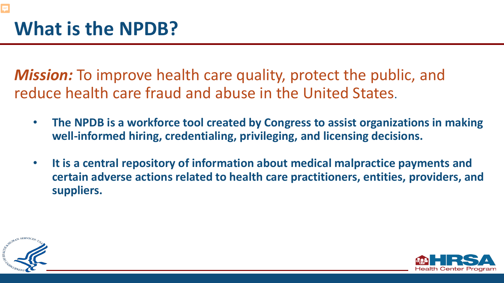*Mission:* To improve health care quality, protect the public, and reduce health care fraud and abuse in the United States.

- **The NPDB is a workforce tool created by Congress to assist organizations in making well-informed hiring, credentialing, privileging, and licensing decisions.**
- **It is a central repository of information about medical malpractice payments and certain adverse actions related to health care practitioners, entities, providers, and suppliers.**



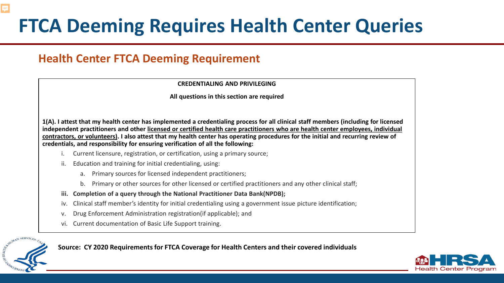# **FTCA Deeming Requires Health Center Queries**

### **Health Center FTCA Deeming Requirement**

#### **CREDENTIALING AND PRIVILEGING**

#### **All questions in this section are required**

**1(A). I attest that my health center has implemented a credentialing process for all clinical staff members (including for licensed independent practitioners and other licensed or certified health care practitioners who are health center employees, individual contractors, or volunteers). I also attest that my health center has operating procedures for the initial and recurring review of credentials, and responsibility for ensuring verification of all the following:**

- i. Current licensure, registration, or certification, using a primary source;
- ii. Education and training for initial credentialing, using:
	- a. Primary sources for licensed independent practitioners;
	- b. Primary or other sources for other licensed or certified practitioners and any other clinical staff;
- **iii. Completion of a query through the National Practitioner Data Bank(NPDB);**
- iv. Clinical staff member's identity for initial credentialing using a government issue picture identification;
- v. Drug Enforcement Administration registration(if applicable); and
- vi. Current documentation of Basic Life Support training.



Ę

**Source: CY 2020 Requirements for FTCA Coverage for Health Centers and their covered individuals**

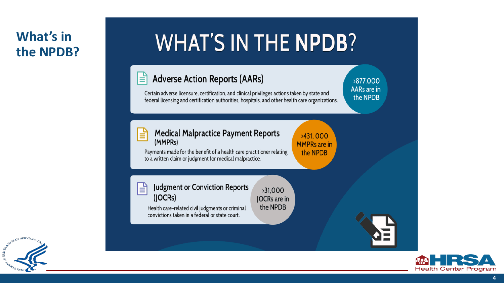### **What's in the NPDB?**

# **WHAT'S IN THE NPDB?**

#### **Adverse Action Reports (AARs)** l≣i

Certain adverse licensure, certification, and clinical privileges actions taken by state and federal licensing and certification authorities, hospitals, and other health care organizations.

 $>31,000$ 

JOCRs are in the NPDB

#### **Medical Malpractice Payment Reports** l≣i (MMPRs)

>431,000 **MMPRs** are in the NPDB

>877.000 **AARs** are in

the NPDB

Payments made for the benefit of a health care practitioner relating to a written claim or judgment for medical malpractice.

**Judgment or Conviction Reports** ا≣ا  $(JOCRs)$ 

Health care-related civil judgments or criminal convictions taken in a federal or state court.



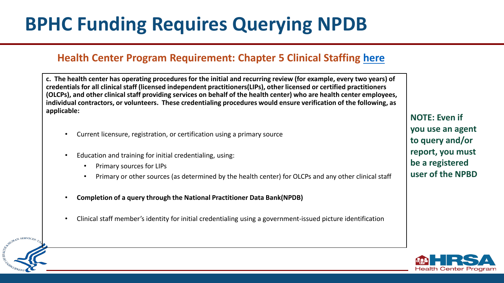# **BPHC Funding Requires Querying NPDB**

#### **Health Center Program Requirement: Chapter 5 Clinical Staffing [here](https://bphc.hrsa.gov/programrequirements/compliancemanual/chapter-5.html#titletop)**

**c. The health center has operating procedures for the initial and recurring review (for example, every two years) of credentials for all clinical staff (licensed independent practitioners(LIPs), other licensed or certified practitioners (OLCPs), and other clinical staff providing services on behalf of the health center) who are health center employees, individual contractors, or volunteers. These credentialing procedures would ensure verification of the following, as applicable:**

- Current licensure, registration, or certification using a primary source
- Education and training for initial credentialing, using:
	- Primary sources for LIPs

AN SERVICE

- Primary or other sources (as determined by the health center) for OLCPs and any other clinical staff
- **Completion of a query through the National Practitioner Data Bank(NPDB)**
- Clinical staff member's identity for initial credentialing using a government-issued picture identification

**NOTE: Even if you use an agent to query and/or report, you must be a registered user of the NPBD**

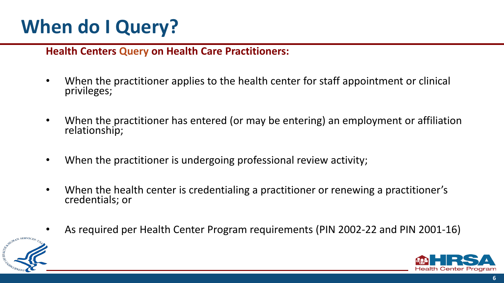# **When do I Query?**

#### **Health Centers Query on Health Care Practitioners:**

- When the practitioner applies to the health center for staff appointment or clinical privileges;
- When the practitioner has entered (or may be entering) an employment or affiliation relationship;
- When the practitioner is undergoing professional review activity;
- When the health center is credentialing a practitioner or renewing a practitioner's credentials; or
- As required per Health Center Program requirements (PIN 2002-22 and PIN 2001-16)



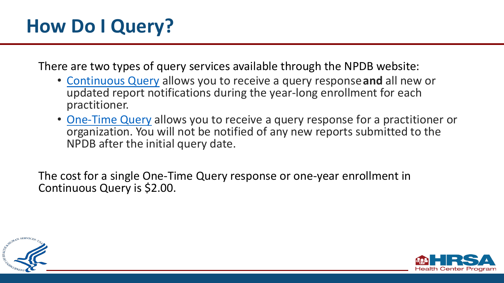# **How Do I Query?**

There are two types of query services available through the NPDB website:

- [Continuous Query](https://www.npdb.hrsa.gov/hcorg/pds.jsp) allows you to receive a query response **and** all new or updated report notifications during the year-long enrollment for each practitioner.
- [One-Time Query](https://www.npdb.hrsa.gov/hcorg/traditionalQuerying.jsp) allows you to receive a query response for a practitioner or organization. You will not be notified of any new reports submitted to the NPDB after the initial query date.

The cost for a single One-Time Query response or one-year enrollment in Continuous Query is \$2.00.



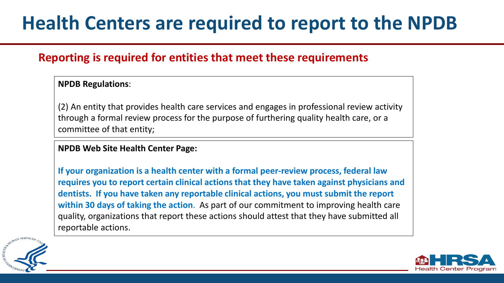# **Health Centers are required to report to the NPDB**

#### **Reporting is required for entities that meet these requirements**

#### **NPDB Regulations**:

(2) An entity that provides health care services and engages in professional review activity through a formal review process for the purpose of furthering quality health care, or a committee of that entity;

#### **NPDB Web Site Health Center Page:**

**If your organization is a health center with a formal peer-review process, federal law requires you to report certain clinical actions that they have taken against physicians and dentists. If you have taken any reportable clinical actions, you must submit the report within 30 days of taking the action**. As part of our commitment to improving health care quality, organizations that report these actions should attest that they have submitted all reportable actions.



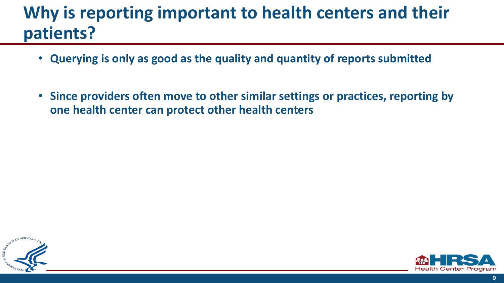### **Why is reporting important to health centers and their patients?**

- **Querying is only as good as the quality and quantity of reports submitted**
- **Since providers often move to other similar settings or practices, reporting by one health center can protect other health centers**



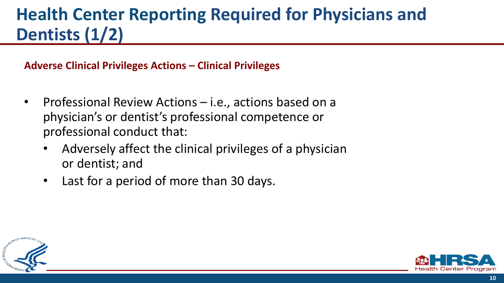### **Health Center Reporting Required for Physicians and Dentists (1/2)**

**Adverse Clinical Privileges Actions – Clinical Privileges**

- Professional Review Actions i.e., actions based on a physician's or dentist's professional competence or professional conduct that:
	- Adversely affect the clinical privileges of a physician or dentist; and
	- Last for a period of more than 30 days.



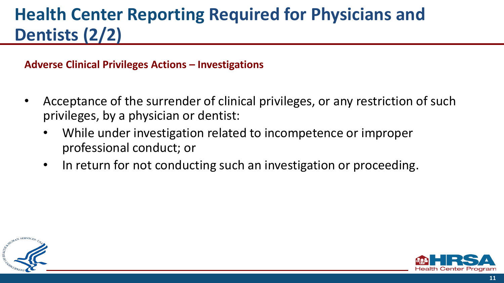### **Health Center Reporting Required for Physicians and Dentists (2/2)**

**Adverse Clinical Privileges Actions – Investigations**

- Acceptance of the surrender of clinical privileges, or any restriction of such privileges, by a physician or dentist:
	- While under investigation related to incompetence or improper professional conduct; or
	- In return for not conducting such an investigation or proceeding.



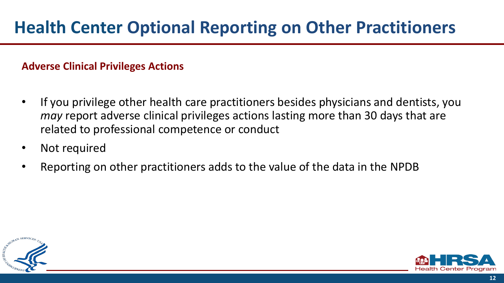**Adverse Clinical Privileges Actions**

- If you privilege other health care practitioners besides physicians and dentists, you *may* report adverse clinical privileges actions lasting more than 30 days that are related to professional competence or conduct
- Not required
- Reporting on other practitioners adds to the value of the data in the NPDB



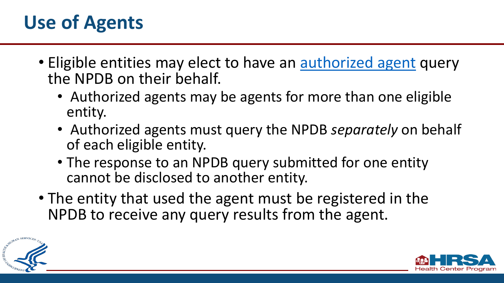# **Use of Agents**

- Eligible entities may elect to have an [authorized agent](https://www.npdb.hrsa.gov/guidebook/BWhoMayReportandQueryBehalfofEligibleEntities.jsp#AuthAgents) query the NPDB on their behalf.
	- Authorized agents may be agents for more than one eligible entity.
	- Authorized agents must query the NPDB *separately* on behalf of each eligible entity.
	- The response to an NPDB query submitted for one entity cannot be disclosed to another entity.
- The entity that used the agent must be registered in the NPDB to receive any query results from the agent.



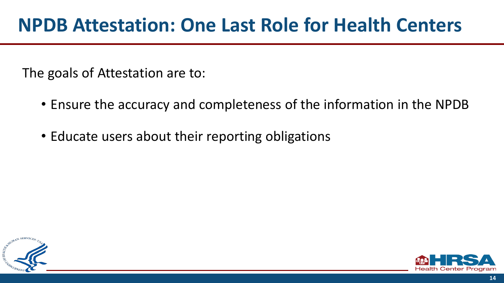The goals of Attestation are to:

- Ensure the accuracy and completeness of the information in the NPDB
- Educate users about their reporting obligations



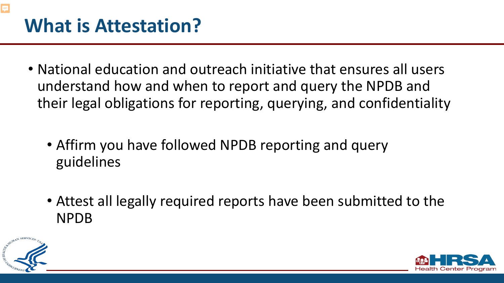- National education and outreach initiative that ensures all users understand how and when to report and query the NPDB and their legal obligations for reporting, querying, and confidentiality
	- Affirm you have followed NPDB reporting and query guidelines
	- Attest all legally required reports have been submitted to the NPDB



**F** 

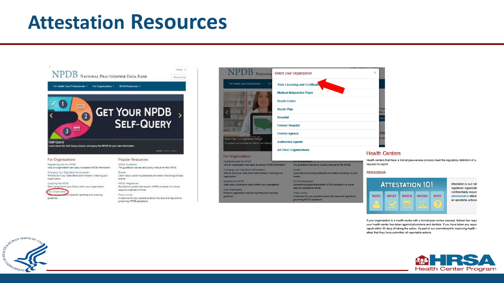### **Attestation Resources**



| NATIONA Select your Organization                                                                                                                                                                               | ×                       |      |
|----------------------------------------------------------------------------------------------------------------------------------------------------------------------------------------------------------------|-------------------------|------|
| For Health Care Professionals =<br>For<br><b>State Licensing and Certificative</b>                                                                                                                             |                         |      |
| <b>Medical Malpractice Payer</b>                                                                                                                                                                               |                         |      |
| <b>Health Center</b>                                                                                                                                                                                           |                         |      |
| <b>Health Plan</b>                                                                                                                                                                                             | of yor<br>ine n         |      |
| <b>Hospital</b>                                                                                                                                                                                                | Start                   |      |
| <b>Federal Hospital</b>                                                                                                                                                                                        |                         |      |
| <b>Federal Agency</b>                                                                                                                                                                                          | Ch                      |      |
| See Our Compliance Map!<br><b>Authorized Agents</b><br>To support our compliance efforts, we redesign                                                                                                          | er not                  |      |
| <b>All Other Organizations</b><br>For Organizations                                                                                                                                                            | <b>Health Cente</b>     |      |
|                                                                                                                                                                                                                | Health centers that hay |      |
| Registering with the NPDB<br><b>NPDB Guidebook</b><br>How an organization can apply to access NPDB information.<br>The guidebook serves as a policy manual for the NPDB.                                       | required to report.     |      |
| Changing Your Data Bank Administrator<br><b>Events</b><br>What to do if your Data Bank administrator is leaving your<br>Learn about upcoming webcasts and watch recordings of past<br>organization.<br>events. | Attestation             |      |
| Querying the NPDB<br><b>NPDB Infographics</b><br>Start using Continuous Query within your organization.<br>Educational guides that explain NPDB concepts in a visual,                                          |                         | Атте |
| easy-to-understand format.<br><b>Your Organization</b>                                                                                                                                                         |                         |      |
| Receive organization-specific reporting and querying<br><b>Policy Corner</b><br>A resource for your questions about the laws and regulations<br>guidance.                                                      | <b>WHO</b>              | WHA  |
| governing NPDB operations.                                                                                                                                                                                     |                         |      |
|                                                                                                                                                                                                                |                         |      |



we a formal peer-review process meet the regulatory definition of a l



If your organization is a health center with a formal peer-review process, federal law requi your health center has taken against physicians and dentists. If you have taken any report report within 30 days of taking the action. As part of our commitment to improving health o attest that they have submitted all reportable actions.



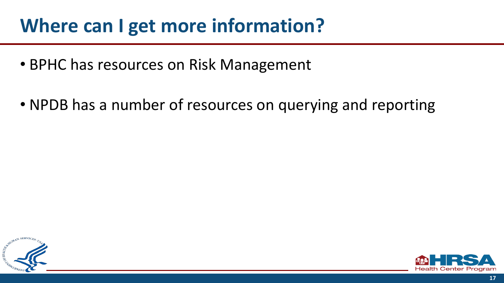## **Where can I get more information?**

- BPHC has resources on Risk Management
- NPDB has a number of resources on querying and reporting



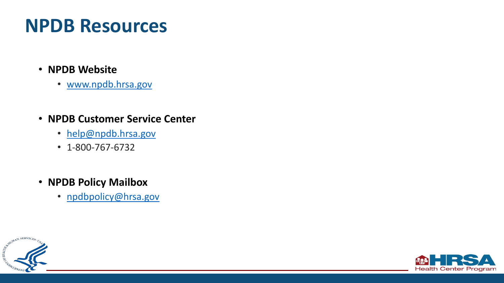## **NPDB Resources**

- **NPDB Website**
	- [www.npdb.hrsa.gov](http://www.npdb.hrsa.gov/)
- **NPDB Customer Service Center**
	- [help@npdb.hrsa.gov](mailto:help@npdb.hrsa.gov)
	- 1-800-767-6732
- **NPDB Policy Mailbox**
	- [npdbpolicy@hrsa.gov](mailto:npdbpolicy@hrsa.gov)



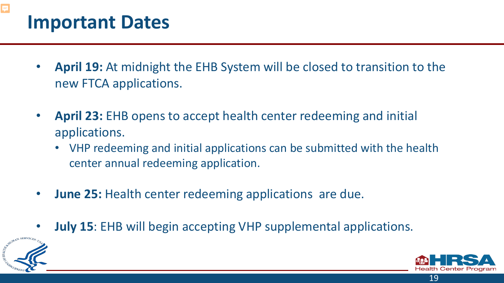# **Important Dates**

- **April 19:** At midnight the EHB System will be closed to transition to the new FTCA applications.
- **April 23:** EHB opens to accept health center redeeming and initial applications.
	- VHP redeeming and initial applications can be submitted with the health center annual redeeming application.
- **June 25:** Health center redeeming applications are due.
- **July 15**: EHB will begin accepting VHP supplemental applications.



 $\overline{\Xi}$ 



19